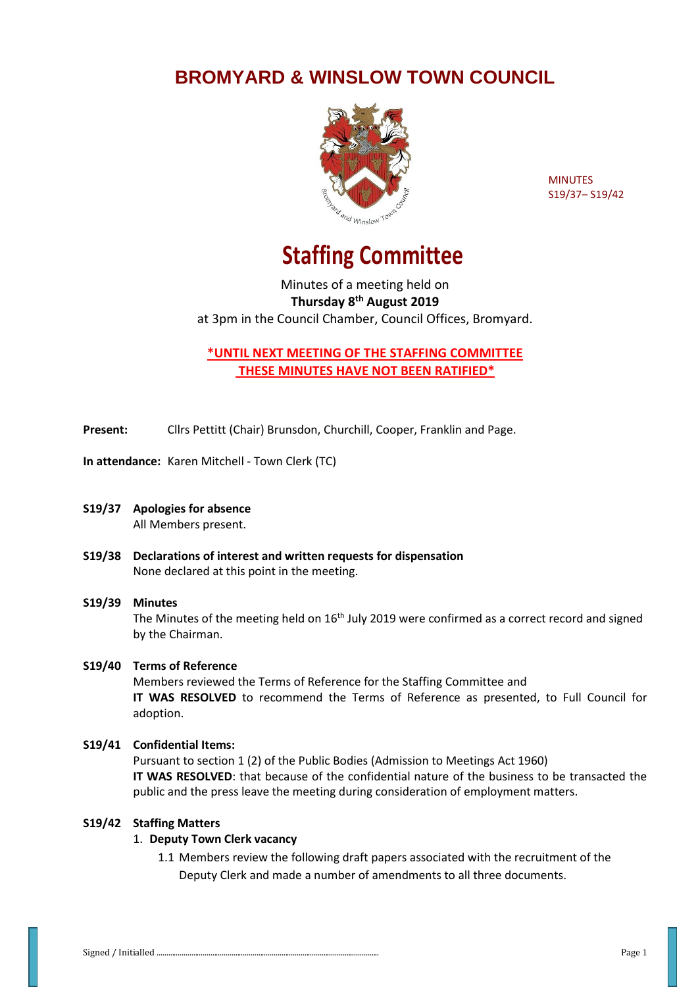## **BROMYARD & WINSLOW TOWN COUNCIL**



**MINUTES** S19/37– S19/42

# **Staffing Committee**

Minutes of a meeting held on **Thursday 8th August 2019** at 3pm in the Council Chamber, Council Offices, Bromyard.

**\*UNTIL NEXT MEETING OF THE STAFFING COMMITTEE THESE MINUTES HAVE NOT BEEN RATIFIED\***

**Present:** Cllrs Pettitt (Chair) Brunsdon, Churchill, Cooper, Franklin and Page.

**In attendance:** Karen Mitchell - Town Clerk (TC)

- **S19/37 Apologies for absence** All Members present.
- **S19/38 Declarations of interest and written requests for dispensation** None declared at this point in the meeting.

### **S19/39 Minutes**

The Minutes of the meeting held on  $16<sup>th</sup>$  July 2019 were confirmed as a correct record and signed by the Chairman.

#### **S19/40 Terms of Reference**

Members reviewed the Terms of Reference for the Staffing Committee and **IT WAS RESOLVED** to recommend the Terms of Reference as presented, to Full Council for adoption.

#### **S19/41 Confidential Items:**

Pursuant to section 1 (2) of the Public Bodies (Admission to Meetings Act 1960) **IT WAS RESOLVED**: that because of the confidential nature of the business to be transacted the public and the press leave the meeting during consideration of employment matters.

#### **S19/42 Staffing Matters**

#### 1. **Deputy Town Clerk vacancy**

1.1 Members review the following draft papers associated with the recruitment of the Deputy Clerk and made a number of amendments to all three documents.